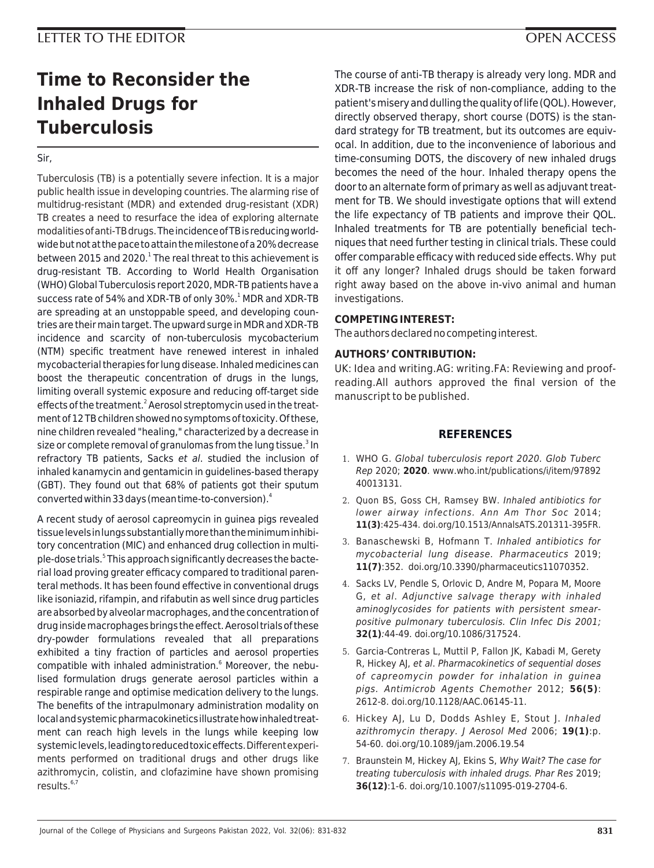## **LETTER TO THE EDITOR OPEN ACCESS**

# **Time to Reconsider the Inhaled Drugs for Tuberculosis**

Sir,

Tuberculosis (TB) is a potentially severe infection. It is a major public health issue in developing countries. The alarming rise of multidrug-resistant (MDR) and extended drug-resistant (XDR) TB creates a need to resurface the idea of exploring alternate modalities of anti-TB drugs. The incidence of TB is reducing worldwide but not at the pace to attain the milestone of a 20% decrease between 2015 and 2020.<sup>1</sup> The real threat to this achievement is drug-resistant TB. According to World Health Organisation (WHO) Global Tuberculosis report 2020, MDR-TB patients have a success rate of 54% and XDR-TB of only 30%.<sup>1</sup> MDR and XDR-TB are spreading at an unstoppable speed, and developing countries are their main target. The upward surge in MDR and XDR-TB incidence and scarcity of non-tuberculosis mycobacterium (NTM) specific treatment have renewed interest in inhaled mycobacterial therapies for lung disease. Inhaled medicines can boost the therapeutic concentration of drugs in the lungs, limiting overall systemic exposure and reducing off-target side effects of the treatment.<sup>2</sup> Aerosol streptomycin used in the treatment of 12 TB children showed no symptoms of toxicity. Of these, nine children revealed "healing," characterized by a decrease in size or complete removal of granulomas from the lung tissue.<sup>3</sup> In refractory TB patients, Sacks et al. studied the inclusion of inhaled kanamycin and gentamicin in guidelines-based therapy (GBT). They found out that 68% of patients got their sputum converted within 33 days (mean time-to-conversion).<sup>4</sup>

A recent study of aerosol capreomycin in guinea pigs revealed tissue levels in lungs substantially more than the minimum inhibitory concentration (MIC) and enhanced drug collection in multiple-dose trials.<sup>5</sup> This approach significantly decreases the bacterial load proving greater efficacy compared to traditional parenteral methods. It has been found effective in conventional drugs like isoniazid, rifampin, and rifabutin as well since drug particles are absorbed by alveolar macrophages, and the concentration of drug inside macrophages brings the effect. Aerosol trials of these dry-powder formulations revealed that all preparations exhibited a tiny fraction of particles and aerosol properties compatible with inhaled administration.<sup>6</sup> Moreover, the nebulised formulation drugs generate aerosol particles within a respirable range and optimise medication delivery to the lungs. The benefits of the intrapulmonary administration modality on local and systemic pharmacokinetics illustrate how inhaled treatment can reach high levels in the lungs while keeping low systemic levels, leading to reduced toxic effects. Different experiments performed on traditional drugs and other drugs like azithromycin, colistin, and clofazimine have shown promising results.6,7

The course of anti-TB therapy is already very long. MDR and XDR-TB increase the risk of non-compliance, adding to the patient's misery and dulling the quality of life (QOL). However, directly observed therapy, short course (DOTS) is the standard strategy for TB treatment, but its outcomes are equivocal. In addition, due to the inconvenience of laborious and time-consuming DOTS, the discovery of new inhaled drugs becomes the need of the hour. Inhaled therapy opens the door to an alternate form of primary as well as adjuvant treatment for TB. We should investigate options that will extend the life expectancy of TB patients and improve their QOL. Inhaled treatments for TB are potentially beneficial techniques that need further testing in clinical trials. These could offer comparable efficacy with reduced side effects. Why put it off any longer? Inhaled drugs should be taken forward right away based on the above in-vivo animal and human investigations.

### **COMPETING INTEREST:**

The authors declared no competing interest.

### **AUTHORS' CONTRIBUTION:**

UK: Idea and writing.AG: writing.FA: Reviewing and proofreading.All authors approved the final version of the manuscript to be published.

#### **REFERENCES**

- 1. WHO G. Global tuberculosis report 2020. Glob Tuberc Rep 2020; **2020**. www.who.int/publications/i/item/97892 40013131.
- 2. Quon BS, Goss CH, Ramsey BW. Inhaled antibiotics for lower airway infections. Ann Am Thor Soc 2014; **11(3)**:425-434. doi.org/10.1513/AnnalsATS.201311-395FR.
- 3. Banaschewski B, Hofmann T. Inhaled antibiotics for mycobacterial lung disease. Pharmaceutics 2019; **11(7)**:352. doi.org/10.3390/pharmaceutics11070352.
- 4. Sacks LV, Pendle S, Orlovic D, Andre M, Popara M, Moore G, et al. Adjunctive salvage therapy with inhaled aminoglycosides for patients with persistent smearpositive pulmonary tuberculosis. Clin Infec Dis 2001; **32(1)**:44-49. doi.org/10.1086/317524.
- 5. Garcia-Contreras L, Muttil P, Fallon JK, Kabadi M, Gerety R, Hickey AJ, et al. Pharmacokinetics of sequential doses of capreomycin powder for inhalation in guinea pigs. Antimicrob Agents Chemother 2012; **56(5)**: 2612-8. doi.org/10.1128/AAC.06145-11.
- 6. Hickey AJ, Lu D, Dodds Ashley E, Stout J. Inhaled azithromycin therapy. J Aerosol Med 2006; **19(1)**:p. 54-60. doi.org/10.1089/jam.2006.19.54
- 7. Braunstein M, Hickey AJ, Ekins S, Why Wait? The case for treating tuberculosis with inhaled drugs. Phar Res 2019; **36(12)**:1-6. doi.org/10.1007/s11095-019-2704-6.